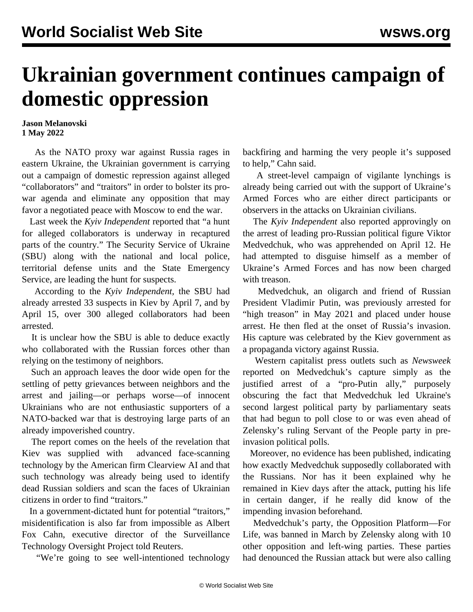## **Ukrainian government continues campaign of domestic oppression**

## **Jason Melanovski 1 May 2022**

 As the NATO proxy war against Russia rages in eastern Ukraine, the Ukrainian government is carrying out a campaign of domestic repression against alleged "collaborators" and "traitors" in order to bolster its prowar agenda and eliminate any opposition that may favor a negotiated peace with Moscow to end the war.

 Last week the *Kyiv Independent* reported that "a hunt for alleged collaborators is underway in recaptured parts of the country." The Security Service of Ukraine (SBU) along with the national and local police, territorial defense units and the State Emergency Service, are leading the hunt for suspects.

 According to the *Kyiv Independent,* the SBU had already arrested 33 suspects in Kiev by April 7, and by April 15, over 300 alleged collaborators had been arrested.

 It is unclear how the SBU is able to deduce exactly who collaborated with the Russian forces other than relying on the testimony of neighbors.

 Such an approach leaves the door wide open for the settling of petty grievances between neighbors and the arrest and jailing—or perhaps worse—of innocent Ukrainians who are not enthusiastic supporters of a NATO-backed war that is destroying large parts of an already impoverished country.

 The report comes on the heels of the revelation that Kiev was supplied with [advanced face-scanning](/en/articles/2022/04/21/wpvy-a21.html) [technology by the American firm Clearview AI](/en/articles/2022/04/21/wpvy-a21.html) and that such technology was already being used to identify dead Russian soldiers and scan the faces of Ukrainian citizens in order to find "traitors."

 In a government-dictated hunt for potential "traitors," misidentification is also far from impossible as Albert Fox Cahn, executive director of the Surveillance Technology Oversight Project told Reuters.

"We're going to see well-intentioned technology

backfiring and harming the very people it's supposed to help," Cahn said.

 A street-level [campaign of vigilante lynchings](/en/articles/2022/03/23/ukr--m23.html) is already being carried out with the support of Ukraine's Armed Forces who are either direct participants or observers in the attacks on Ukrainian civilians.

 The *Kyiv Independent* also reported approvingly on the arrest of leading pro-Russian political figure Viktor Medvedchuk, who was apprehended on April 12. He had attempted to disguise himself as a member of Ukraine's Armed Forces and has now been charged with treason.

 Medvedchuk, an oligarch and friend of Russian President Vladimir Putin, was previously [arrested for](/en/articles/2021/05/15/ukr-m15.html) ["high treason" in May 2021 and placed under house](/en/articles/2021/05/15/ukr-m15.html) [arrest](/en/articles/2021/05/15/ukr-m15.html). He then fled at the onset of Russia's invasion. His capture was celebrated by the Kiev government as a propaganda victory against Russia.

 Western capitalist press outlets such as *Newsweek* reported on Medvedchuk's capture simply as the justified arrest of a "pro-Putin ally," purposely obscuring the fact that Medvedchuk led Ukraine's second largest political party by parliamentary seats that had begun to poll close to or was even ahead of Zelensky's ruling Servant of the People party in preinvasion political polls.

 Moreover, no evidence has been published, indicating how exactly Medvedchuk supposedly collaborated with the Russians. Nor has it been explained why he remained in Kiev days after the attack, putting his life in certain danger, if he really did know of the impending invasion beforehand.

 Medvedchuk's party, the Opposition Platform—For Life, was banned in March by Zelensky along with 10 other opposition and left-wing parties. These parties had denounced the Russian attack but were also calling